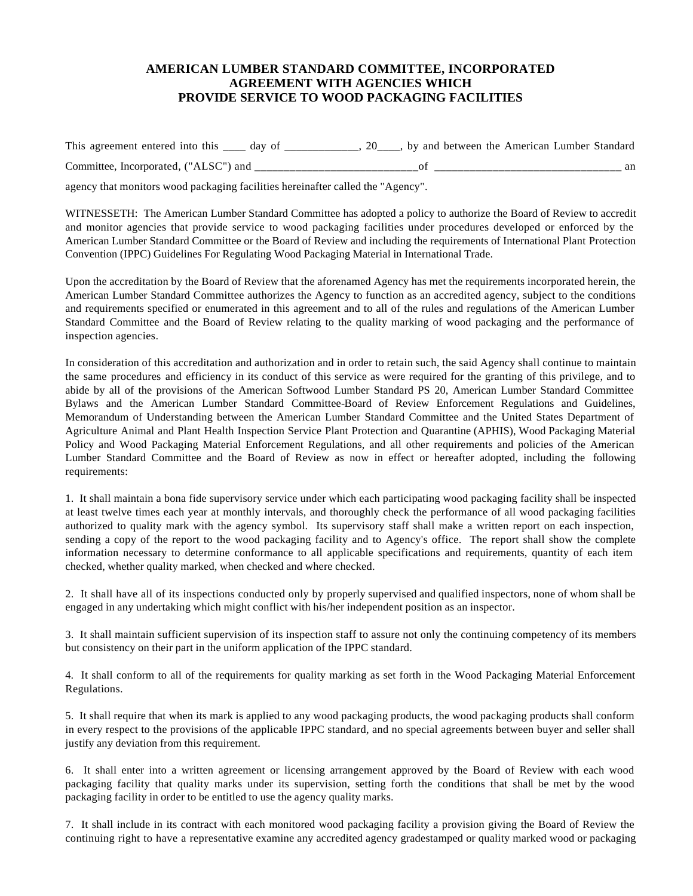## **AMERICAN LUMBER STANDARD COMMITTEE, INCORPORATED AGREEMENT WITH AGENCIES WHICH PROVIDE SERVICE TO WOOD PACKAGING FACILITIES**

This agreement entered into this \_\_\_\_ day of \_\_\_\_\_\_\_\_\_\_\_, 20\_\_\_, by and between the American Lumber Standard Committee, Incorporated, ("ALSC") and \_\_\_\_\_\_\_\_\_\_\_\_\_\_\_\_\_\_\_\_\_\_\_\_\_\_\_\_of \_\_\_\_\_\_\_\_\_\_\_\_\_\_\_\_\_\_\_\_\_\_\_\_\_\_\_\_\_\_\_\_ an

agency that monitors wood packaging facilities hereinafter called the "Agency".

WITNESSETH: The American Lumber Standard Committee has adopted a policy to authorize the Board of Review to accredit and monitor agencies that provide service to wood packaging facilities under procedures developed or enforced by the American Lumber Standard Committee or the Board of Review and including the requirements of International Plant Protection Convention (IPPC) Guidelines For Regulating Wood Packaging Material in International Trade.

Upon the accreditation by the Board of Review that the aforenamed Agency has met the requirements incorporated herein, the American Lumber Standard Committee authorizes the Agency to function as an accredited agency, subject to the conditions and requirements specified or enumerated in this agreement and to all of the rules and regulations of the American Lumber Standard Committee and the Board of Review relating to the quality marking of wood packaging and the performance of inspection agencies.

In consideration of this accreditation and authorization and in order to retain such, the said Agency shall continue to maintain the same procedures and efficiency in its conduct of this service as were required for the granting of this privilege, and to abide by all of the provisions of the American Softwood Lumber Standard PS 20, American Lumber Standard Committee Bylaws and the American Lumber Standard Committee-Board of Review Enforcement Regulations and Guidelines, Memorandum of Understanding between the American Lumber Standard Committee and the United States Department of Agriculture Animal and Plant Health Inspection Service Plant Protection and Quarantine (APHIS), Wood Packaging Material Policy and Wood Packaging Material Enforcement Regulations, and all other requirements and policies of the American Lumber Standard Committee and the Board of Review as now in effect or hereafter adopted, including the following requirements:

1. It shall maintain a bona fide supervisory service under which each participating wood packaging facility shall be inspected at least twelve times each year at monthly intervals, and thoroughly check the performance of all wood packaging facilities authorized to quality mark with the agency symbol. Its supervisory staff shall make a written report on each inspection, sending a copy of the report to the wood packaging facility and to Agency's office. The report shall show the complete information necessary to determine conformance to all applicable specifications and requirements, quantity of each item checked, whether quality marked, when checked and where checked.

2. It shall have all of its inspections conducted only by properly supervised and qualified inspectors, none of whom shall be engaged in any undertaking which might conflict with his/her independent position as an inspector.

3. It shall maintain sufficient supervision of its inspection staff to assure not only the continuing competency of its members but consistency on their part in the uniform application of the IPPC standard.

4. It shall conform to all of the requirements for quality marking as set forth in the Wood Packaging Material Enforcement Regulations.

5. It shall require that when its mark is applied to any wood packaging products, the wood packaging products shall conform in every respect to the provisions of the applicable IPPC standard, and no special agreements between buyer and seller shall justify any deviation from this requirement.

6. It shall enter into a written agreement or licensing arrangement approved by the Board of Review with each wood packaging facility that quality marks under its supervision, setting forth the conditions that shall be met by the wood packaging facility in order to be entitled to use the agency quality marks.

7. It shall include in its contract with each monitored wood packaging facility a provision giving the Board of Review the continuing right to have a representative examine any accredited agency gradestamped or quality marked wood or packaging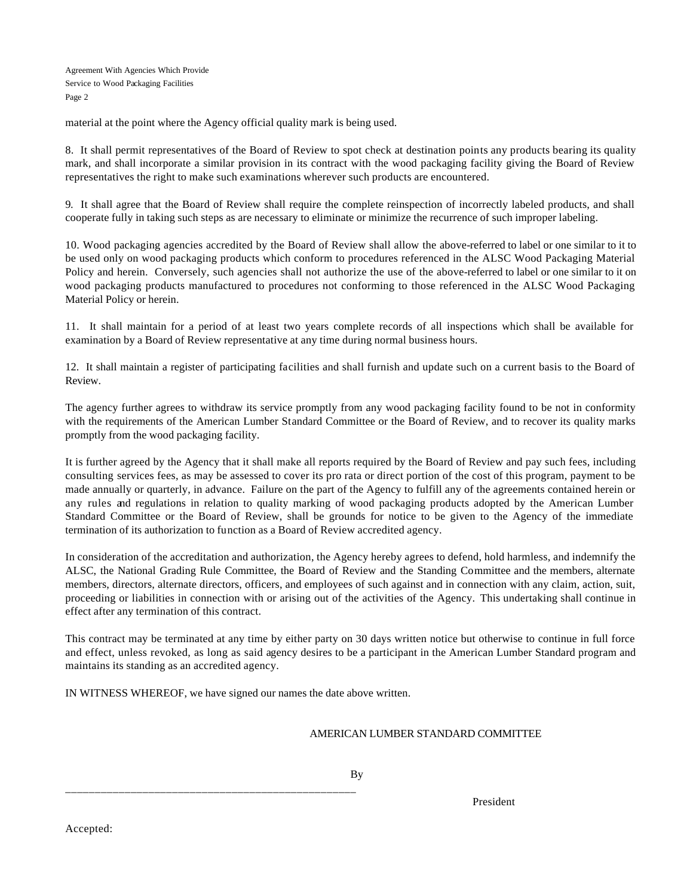Agreement With Agencies Which Provide Service to Wood Packaging Facilities Page 2

material at the point where the Agency official quality mark is being used.

8. It shall permit representatives of the Board of Review to spot check at destination points any products bearing its quality mark, and shall incorporate a similar provision in its contract with the wood packaging facility giving the Board of Review representatives the right to make such examinations wherever such products are encountered.

9. It shall agree that the Board of Review shall require the complete reinspection of incorrectly labeled products, and shall cooperate fully in taking such steps as are necessary to eliminate or minimize the recurrence of such improper labeling.

10. Wood packaging agencies accredited by the Board of Review shall allow the above-referred to label or one similar to it to be used only on wood packaging products which conform to procedures referenced in the ALSC Wood Packaging Material Policy and herein. Conversely, such agencies shall not authorize the use of the above-referred to label or one similar to it on wood packaging products manufactured to procedures not conforming to those referenced in the ALSC Wood Packaging Material Policy or herein.

11. It shall maintain for a period of at least two years complete records of all inspections which shall be available for examination by a Board of Review representative at any time during normal business hours.

12. It shall maintain a register of participating facilities and shall furnish and update such on a current basis to the Board of Review.

The agency further agrees to withdraw its service promptly from any wood packaging facility found to be not in conformity with the requirements of the American Lumber Standard Committee or the Board of Review, and to recover its quality marks promptly from the wood packaging facility.

It is further agreed by the Agency that it shall make all reports required by the Board of Review and pay such fees, including consulting services fees, as may be assessed to cover its pro rata or direct portion of the cost of this program, payment to be made annually or quarterly, in advance. Failure on the part of the Agency to fulfill any of the agreements contained herein or any rules and regulations in relation to quality marking of wood packaging products adopted by the American Lumber Standard Committee or the Board of Review, shall be grounds for notice to be given to the Agency of the immediate termination of its authorization to function as a Board of Review accredited agency.

In consideration of the accreditation and authorization, the Agency hereby agrees to defend, hold harmless, and indemnify the ALSC, the National Grading Rule Committee, the Board of Review and the Standing Committee and the members, alternate members, directors, alternate directors, officers, and employees of such against and in connection with any claim, action, suit, proceeding or liabilities in connection with or arising out of the activities of the Agency. This undertaking shall continue in effect after any termination of this contract.

This contract may be terminated at any time by either party on 30 days written notice but otherwise to continue in full force and effect, unless revoked, as long as said agency desires to be a participant in the American Lumber Standard program and maintains its standing as an accredited agency.

IN WITNESS WHEREOF, we have signed our names the date above written.

## AMERICAN LUMBER STANDARD COMMITTEE

\_\_\_\_\_\_\_\_\_\_\_\_\_\_\_\_\_\_\_\_\_\_\_\_\_\_\_\_\_\_\_\_\_\_\_\_\_\_\_\_\_\_\_\_\_\_\_\_\_

President